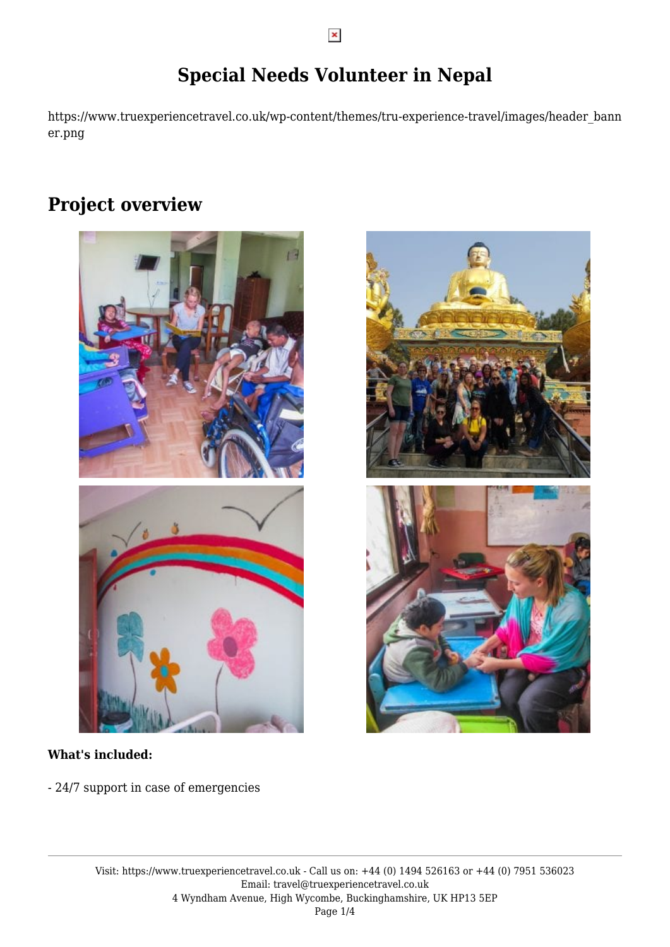# **Special Needs Volunteer in Nepal**

https://www.truexperiencetravel.co.uk/wp-content/themes/tru-experience-travel/images/header\_bann er.png

# **Project overview**





- 24/7 support in case of emergencies

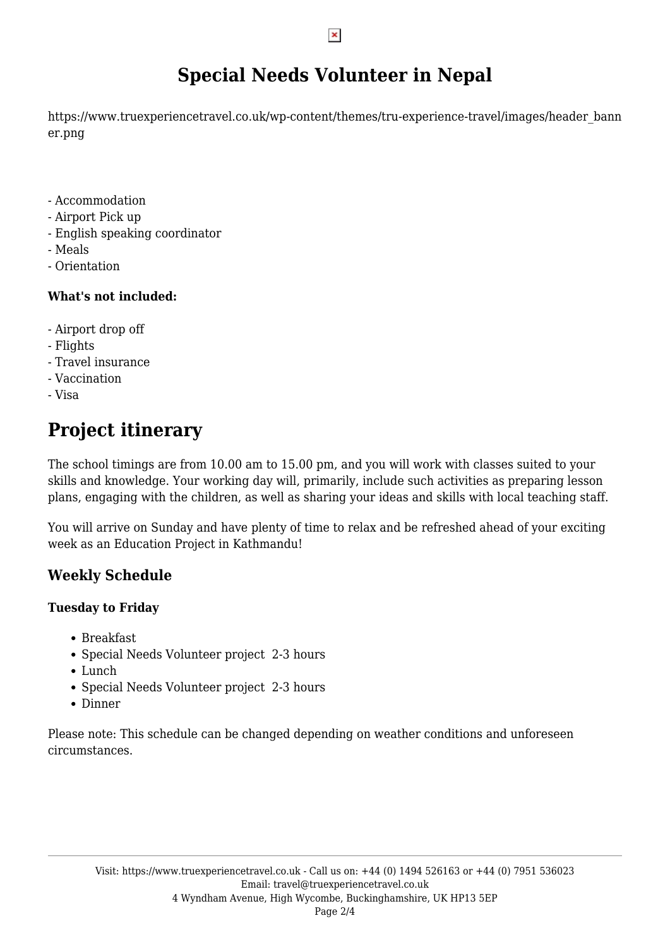# **Special Needs Volunteer in Nepal**

https://www.truexperiencetravel.co.uk/wp-content/themes/tru-experience-travel/images/header\_bann er.png

- Accommodation
- Airport Pick up
- English speaking coordinator
- Meals
- Orientation

### **What's not included:**

- Airport drop off
- Flights
- Travel insurance
- Vaccination
- Visa

# **Project itinerary**

The school timings are from 10.00 am to 15.00 pm, and you will work with classes suited to your skills and knowledge. Your working day will, primarily, include such activities as preparing lesson plans, engaging with the children, as well as sharing your ideas and skills with local teaching staff.

You will arrive on Sunday and have plenty of time to relax and be refreshed ahead of your exciting week as an Education Project in Kathmandu!

## **Weekly Schedule**

## **Tuesday to Friday**

- Breakfast
- Special Needs Volunteer project 2-3 hours
- Lunch
- Special Needs Volunteer project 2-3 hours
- Dinner

Please note: This schedule can be changed depending on weather conditions and unforeseen circumstances.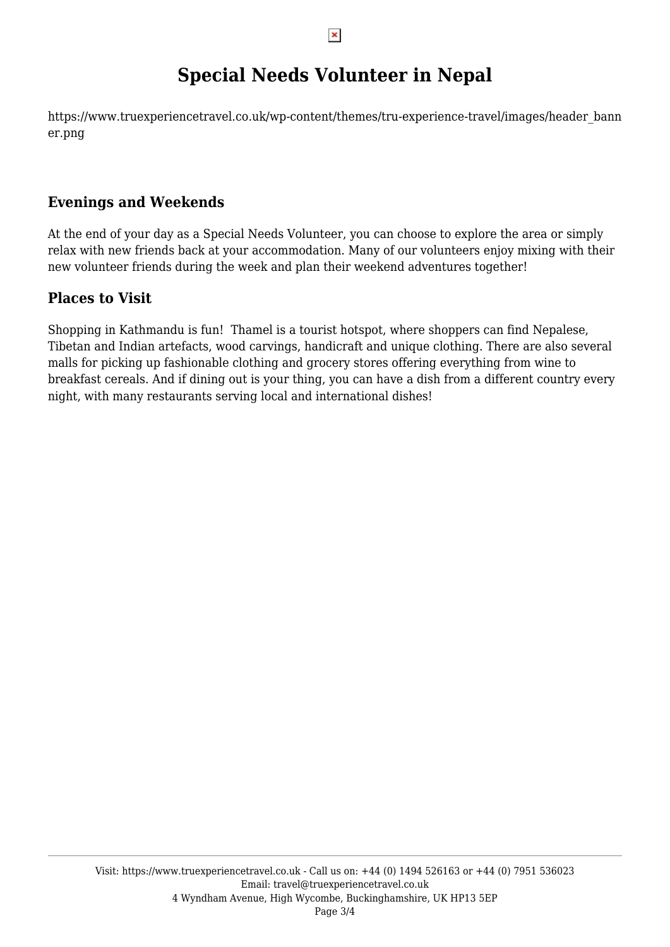# **Special Needs Volunteer in Nepal**

https://www.truexperiencetravel.co.uk/wp-content/themes/tru-experience-travel/images/header\_bann er.png

## **Evenings and Weekends**

At the end of your day as a Special Needs Volunteer, you can choose to explore the area or simply relax with new friends back at your accommodation. Many of our volunteers enjoy mixing with their new volunteer friends during the week and plan their weekend adventures together!

## **Places to Visit**

Shopping in Kathmandu is fun! Thamel is a tourist hotspot, where shoppers can find Nepalese, Tibetan and Indian artefacts, wood carvings, handicraft and unique clothing. There are also several malls for picking up fashionable clothing and grocery stores offering everything from wine to breakfast cereals. And if dining out is your thing, you can have a dish from a different country every night, with many restaurants serving local and international dishes!